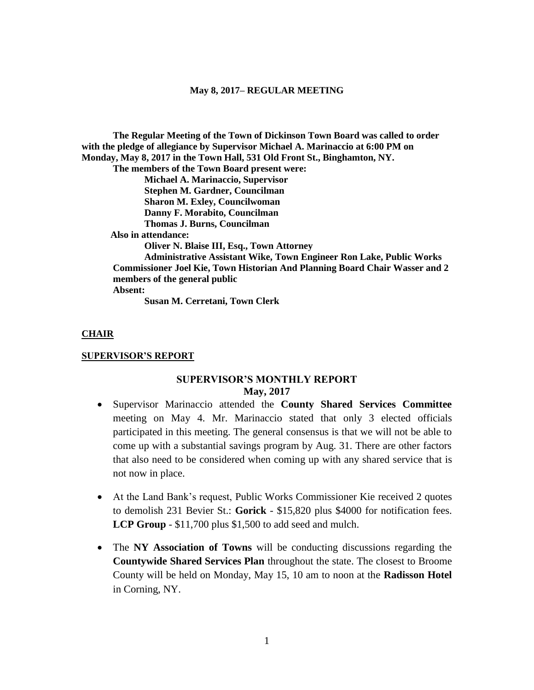**The Regular Meeting of the Town of Dickinson Town Board was called to order with the pledge of allegiance by Supervisor Michael A. Marinaccio at 6:00 PM on Monday, May 8, 2017 in the Town Hall, 531 Old Front St., Binghamton, NY.** 

**The members of the Town Board present were:**

**Michael A. Marinaccio, Supervisor Stephen M. Gardner, Councilman Sharon M. Exley, Councilwoman Danny F. Morabito, Councilman Thomas J. Burns, Councilman**

 **Also in attendance:**

**Oliver N. Blaise III, Esq., Town Attorney**

**Administrative Assistant Wike, Town Engineer Ron Lake, Public Works Commissioner Joel Kie, Town Historian And Planning Board Chair Wasser and 2 members of the general public Absent:**

**Susan M. Cerretani, Town Clerk**

**CHAIR**

#### **SUPERVISOR'S REPORT**

# **SUPERVISOR'S MONTHLY REPORT May, 2017**

- Supervisor Marinaccio attended the **County Shared Services Committee** meeting on May 4. Mr. Marinaccio stated that only 3 elected officials participated in this meeting. The general consensus is that we will not be able to come up with a substantial savings program by Aug. 31. There are other factors that also need to be considered when coming up with any shared service that is not now in place.
- At the Land Bank's request, Public Works Commissioner Kie received 2 quotes to demolish 231 Bevier St.: **Gorick** - \$15,820 plus \$4000 for notification fees. **LCP Group** - \$11,700 plus \$1,500 to add seed and mulch.
- The **NY Association of Towns** will be conducting discussions regarding the **Countywide Shared Services Plan** throughout the state. The closest to Broome County will be held on Monday, May 15, 10 am to noon at the **Radisson Hotel** in Corning, NY.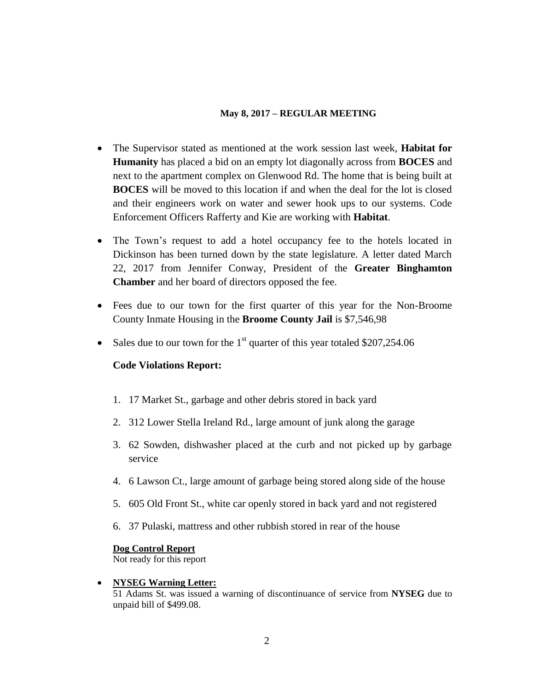- The Supervisor stated as mentioned at the work session last week, **Habitat for Humanity** has placed a bid on an empty lot diagonally across from **BOCES** and next to the apartment complex on Glenwood Rd. The home that is being built at **BOCES** will be moved to this location if and when the deal for the lot is closed and their engineers work on water and sewer hook ups to our systems. Code Enforcement Officers Rafferty and Kie are working with **Habitat**.
- The Town's request to add a hotel occupancy fee to the hotels located in Dickinson has been turned down by the state legislature. A letter dated March 22, 2017 from Jennifer Conway, President of the **Greater Binghamton Chamber** and her board of directors opposed the fee.
- Fees due to our town for the first quarter of this year for the Non-Broome County Inmate Housing in the **Broome County Jail** is \$7,546,98
- Sales due to our town for the  $1<sup>st</sup>$  quarter of this year totaled \$207,254.06

# **Code Violations Report:**

- 1. 17 Market St., garbage and other debris stored in back yard
- 2. 312 Lower Stella Ireland Rd., large amount of junk along the garage
- 3. 62 Sowden, dishwasher placed at the curb and not picked up by garbage service
- 4. 6 Lawson Ct., large amount of garbage being stored along side of the house
- 5. 605 Old Front St., white car openly stored in back yard and not registered
- 6. 37 Pulaski, mattress and other rubbish stored in rear of the house

# **Dog Control Report**

Not ready for this report

# **NYSEG Warning Letter:**

51 Adams St. was issued a warning of discontinuance of service from **NYSEG** due to unpaid bill of \$499.08.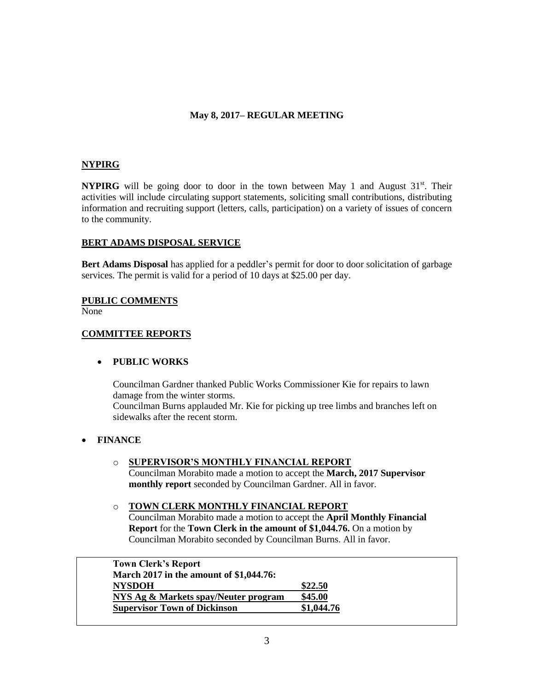## **NYPIRG**

**NYPIRG** will be going door to door in the town between May 1 and August  $31<sup>st</sup>$ . Their activities will include circulating support statements, soliciting small contributions, distributing information and recruiting support (letters, calls, participation) on a variety of issues of concern to the community.

### **BERT ADAMS DISPOSAL SERVICE**

**Bert Adams Disposal** has applied for a peddler's permit for door to door solicitation of garbage services. The permit is valid for a period of 10 days at \$25.00 per day.

### **PUBLIC COMMENTS**

None

### **COMMITTEE REPORTS**

### **PUBLIC WORKS**

sidewalks after the recent storm.

Councilman Gardner thanked Public Works Commissioner Kie for repairs to lawn damage from the winter storms. Councilman Burns applauded Mr. Kie for picking up tree limbs and branches left on

### **FINANCE**

- o **SUPERVISOR'S MONTHLY FINANCIAL REPORT** Councilman Morabito made a motion to accept the **March, 2017 Supervisor monthly report** seconded by Councilman Gardner. All in favor.
- o **TOWN CLERK MONTHLY FINANCIAL REPORT** Councilman Morabito made a motion to accept the **April Monthly Financial Report** for the **Town Clerk in the amount of \$1,044.76.** On a motion by Councilman Morabito seconded by Councilman Burns. All in favor.

| <b>Town Clerk's Report</b>              |            |
|-----------------------------------------|------------|
| March 2017 in the amount of \$1,044.76: |            |
| <b>NYSDOH</b>                           | \$22.50    |
| NYS Ag & Markets spay/Neuter program    | \$45.00    |
| <b>Supervisor Town of Dickinson</b>     | \$1,044.76 |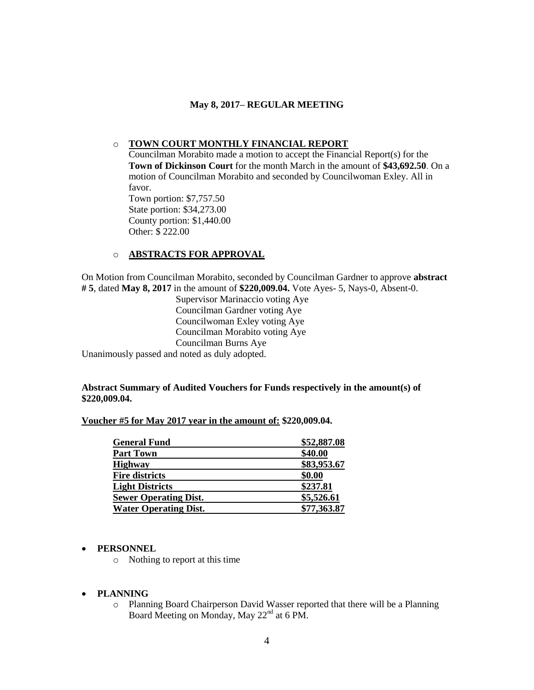## o **TOWN COURT MONTHLY FINANCIAL REPORT**

Councilman Morabito made a motion to accept the Financial Report(s) for the **Town of Dickinson Court** for the month March in the amount of **\$43,692.50**. On a motion of Councilman Morabito and seconded by Councilwoman Exley. All in favor. Town portion: \$7,757.50

State portion: \$34,273.00 County portion: \$1,440.00 Other: \$ 222.00

# o **ABSTRACTS FOR APPROVAL**

On Motion from Councilman Morabito, seconded by Councilman Gardner to approve **abstract # 5**, dated **May 8, 2017** in the amount of **\$220,009.04.** Vote Ayes- 5, Nays-0, Absent-0.

Supervisor Marinaccio voting Aye Councilman Gardner voting Aye Councilwoman Exley voting Aye Councilman Morabito voting Aye Councilman Burns Aye Unanimously passed and noted as duly adopted.

### **Abstract Summary of Audited Vouchers for Funds respectively in the amount(s) of \$220,009.04.**

### **Voucher #5 for May 2017 year in the amount of: \$220,009.04.**

| <b>General Fund</b>          | \$52,887.08 |
|------------------------------|-------------|
| <b>Part Town</b>             | \$40.00     |
| <b>Highway</b>               | \$83,953.67 |
| <b>Fire districts</b>        | \$0.00      |
| <b>Light Districts</b>       | \$237.81    |
| <b>Sewer Operating Dist.</b> | \$5,526.61  |
| <b>Water Operating Dist.</b> | \$77,363.87 |

### **PERSONNEL**

o Nothing to report at this time

### **PLANNING**

o Planning Board Chairperson David Wasser reported that there will be a Planning Board Meeting on Monday, May 22<sup>nd</sup> at 6 PM.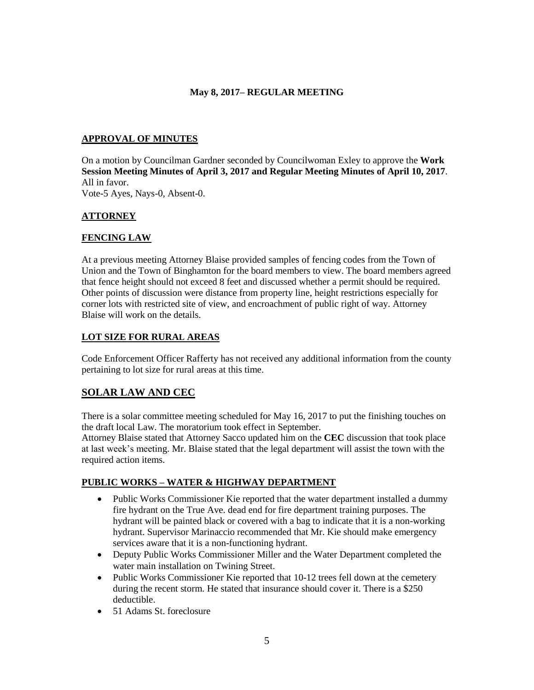# **APPROVAL OF MINUTES**

On a motion by Councilman Gardner seconded by Councilwoman Exley to approve the **Work Session Meeting Minutes of April 3, 2017 and Regular Meeting Minutes of April 10, 2017**. All in favor.

Vote-5 Ayes, Nays-0, Absent-0.

# **ATTORNEY**

# **FENCING LAW**

At a previous meeting Attorney Blaise provided samples of fencing codes from the Town of Union and the Town of Binghamton for the board members to view. The board members agreed that fence height should not exceed 8 feet and discussed whether a permit should be required. Other points of discussion were distance from property line, height restrictions especially for corner lots with restricted site of view, and encroachment of public right of way. Attorney Blaise will work on the details.

# **LOT SIZE FOR RURAL AREAS**

Code Enforcement Officer Rafferty has not received any additional information from the county pertaining to lot size for rural areas at this time.

# **SOLAR LAW AND CEC**

There is a solar committee meeting scheduled for May 16, 2017 to put the finishing touches on the draft local Law. The moratorium took effect in September.

Attorney Blaise stated that Attorney Sacco updated him on the **CEC** discussion that took place at last week's meeting. Mr. Blaise stated that the legal department will assist the town with the required action items.

# **PUBLIC WORKS – WATER & HIGHWAY DEPARTMENT**

- Public Works Commissioner Kie reported that the water department installed a dummy fire hydrant on the True Ave. dead end for fire department training purposes. The hydrant will be painted black or covered with a bag to indicate that it is a non-working hydrant. Supervisor Marinaccio recommended that Mr. Kie should make emergency services aware that it is a non-functioning hydrant.
- Deputy Public Works Commissioner Miller and the Water Department completed the water main installation on Twining Street.
- Public Works Commissioner Kie reported that 10-12 trees fell down at the cemetery during the recent storm. He stated that insurance should cover it. There is a \$250 deductible.
- 51 Adams St. foreclosure